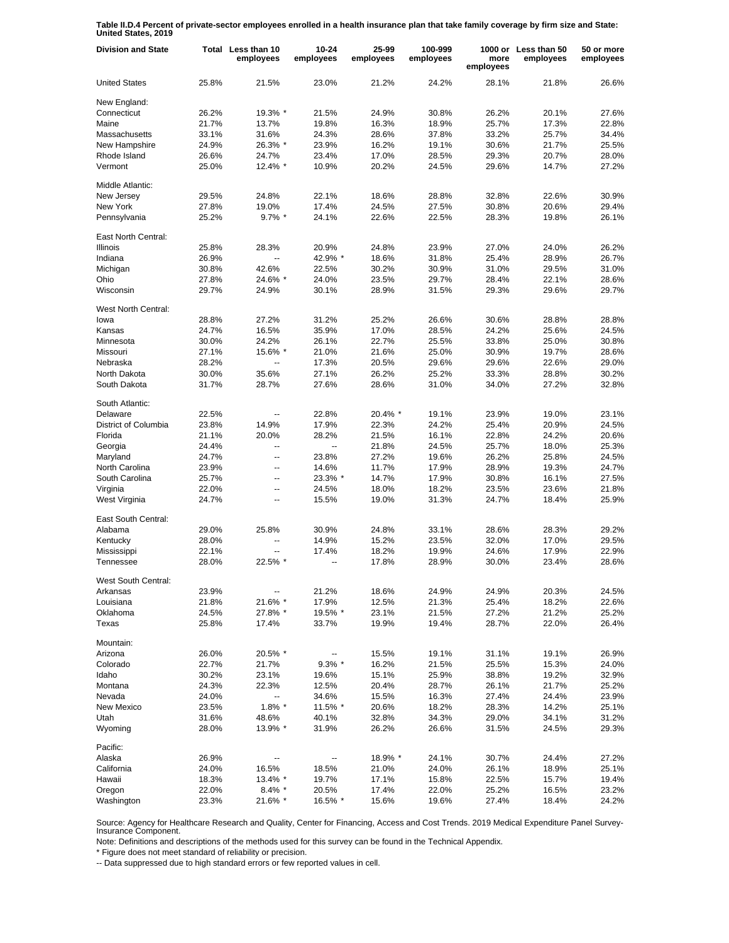**Table II.D.4 Percent of private-sector employees enrolled in a health insurance plan that take family coverage by firm size and State: United States, 2019**

| <b>Division and State</b>   |       | Total Less than 10<br>employees | 10-24<br>employees | 25-99<br>employees | 100-999<br>employees | more<br>employees | 1000 or Less than 50<br>employees | 50 or more<br>employees |
|-----------------------------|-------|---------------------------------|--------------------|--------------------|----------------------|-------------------|-----------------------------------|-------------------------|
| <b>United States</b>        | 25.8% | 21.5%                           | 23.0%              | 21.2%              | 24.2%                | 28.1%             | 21.8%                             | 26.6%                   |
| New England:                |       |                                 |                    |                    |                      |                   |                                   |                         |
| Connecticut                 | 26.2% | 19.3% *                         | 21.5%              | 24.9%              | 30.8%                | 26.2%             | 20.1%                             | 27.6%                   |
| Maine                       | 21.7% | 13.7%                           | 19.8%              | 16.3%              | 18.9%                | 25.7%             | 17.3%                             | 22.8%                   |
| Massachusetts               | 33.1% | 31.6%                           | 24.3%              | 28.6%              | 37.8%                | 33.2%             | 25.7%                             | 34.4%                   |
| New Hampshire               | 24.9% | 26.3% *                         | 23.9%              | 16.2%              | 19.1%                | 30.6%             | 21.7%                             | 25.5%                   |
| Rhode Island                | 26.6% | 24.7%                           | 23.4%              | 17.0%              | 28.5%                | 29.3%             | 20.7%                             | 28.0%                   |
| Vermont                     | 25.0% | 12.4% *                         | 10.9%              | 20.2%              | 24.5%                | 29.6%             | 14.7%                             | 27.2%                   |
| Middle Atlantic:            |       |                                 |                    |                    |                      |                   |                                   |                         |
| New Jersey                  | 29.5% | 24.8%                           | 22.1%              | 18.6%              | 28.8%                | 32.8%             | 22.6%                             | 30.9%                   |
| New York                    | 27.8% | 19.0%                           | 17.4%              | 24.5%              | 27.5%                | 30.8%             | 20.6%                             | 29.4%                   |
| Pennsylvania                | 25.2% | $9.7\%$ *                       | 24.1%              | 22.6%              | 22.5%                | 28.3%             | 19.8%                             | 26.1%                   |
| East North Central:         |       |                                 |                    |                    |                      |                   |                                   |                         |
| <b>Illinois</b>             | 25.8% | 28.3%                           | 20.9%              | 24.8%              | 23.9%                | 27.0%             | 24.0%                             | 26.2%                   |
| Indiana                     | 26.9% | ш,                              | 42.9% *            | 18.6%              | 31.8%                | 25.4%             | 28.9%                             | 26.7%                   |
| Michigan                    | 30.8% | 42.6%                           | 22.5%              | 30.2%              | 30.9%                | 31.0%             | 29.5%                             | 31.0%                   |
| Ohio                        | 27.8% | 24.6% *                         | 24.0%              | 23.5%              | 29.7%                | 28.4%             | 22.1%                             | 28.6%                   |
| Wisconsin                   | 29.7% | 24.9%                           | 30.1%              | 28.9%              | 31.5%                | 29.3%             | 29.6%                             | 29.7%                   |
|                             |       |                                 |                    |                    |                      |                   |                                   |                         |
| West North Central:<br>lowa | 28.8% | 27.2%                           | 31.2%              | 25.2%              | 26.6%                | 30.6%             | 28.8%                             | 28.8%                   |
| Kansas                      | 24.7% | 16.5%                           | 35.9%              | 17.0%              | 28.5%                | 24.2%             | 25.6%                             | 24.5%                   |
| Minnesota                   | 30.0% | 24.2%                           | 26.1%              | 22.7%              | 25.5%                | 33.8%             | 25.0%                             | 30.8%                   |
| Missouri                    | 27.1% | 15.6% *                         | 21.0%              | 21.6%              | 25.0%                | 30.9%             | 19.7%                             | 28.6%                   |
| Nebraska                    | 28.2% |                                 | 17.3%              | 20.5%              | 29.6%                | 29.6%             | 22.6%                             | 29.0%                   |
|                             |       |                                 |                    | 26.2%              | 25.2%                |                   |                                   |                         |
| North Dakota                | 30.0% | 35.6%                           | 27.1%              |                    |                      | 33.3%             | 28.8%                             | 30.2%                   |
| South Dakota                | 31.7% | 28.7%                           | 27.6%              | 28.6%              | 31.0%                | 34.0%             | 27.2%                             | 32.8%                   |
| South Atlantic:             |       |                                 |                    |                    |                      |                   |                                   |                         |
| Delaware                    | 22.5% |                                 | 22.8%              | 20.4% *            | 19.1%                | 23.9%             | 19.0%                             | 23.1%                   |
| District of Columbia        | 23.8% | 14.9%                           | 17.9%              | 22.3%              | 24.2%                | 25.4%             | 20.9%                             | 24.5%                   |
| Florida                     | 21.1% | 20.0%                           | 28.2%              | 21.5%              | 16.1%                | 22.8%             | 24.2%                             | 20.6%                   |
| Georgia                     | 24.4% | $\overline{a}$                  |                    | 21.8%              | 24.5%                | 25.7%             | 18.0%                             | 25.3%                   |
| Maryland                    | 24.7% | ÷.                              | 23.8%              | 27.2%              | 19.6%                | 26.2%             | 25.8%                             | 24.5%                   |
| North Carolina              | 23.9% | $\overline{a}$                  | 14.6%              | 11.7%              | 17.9%                | 28.9%             | 19.3%                             | 24.7%                   |
| South Carolina              | 25.7% | Ξ.                              | 23.3% *            | 14.7%              | 17.9%                | 30.8%             | 16.1%                             | 27.5%                   |
| Virginia                    | 22.0% | $\mathbf{u}$                    | 24.5%              | 18.0%              | 18.2%                | 23.5%             | 23.6%                             | 21.8%                   |
| West Virginia               | 24.7% | $\overline{\phantom{a}}$        | 15.5%              | 19.0%              | 31.3%                | 24.7%             | 18.4%                             | 25.9%                   |
| East South Central:         |       |                                 |                    |                    |                      |                   |                                   |                         |
| Alabama                     | 29.0% | 25.8%                           | 30.9%              | 24.8%              | 33.1%                | 28.6%             | 28.3%                             | 29.2%                   |
| Kentucky                    | 28.0% | ۵.                              | 14.9%              | 15.2%              | 23.5%                | 32.0%             | 17.0%                             | 29.5%                   |
| Mississippi                 | 22.1% |                                 | 17.4%              | 18.2%              | 19.9%                | 24.6%             | 17.9%                             | 22.9%                   |
| Tennessee                   | 28.0% | 22.5% *                         | ۰.                 | 17.8%              | 28.9%                | 30.0%             | 23.4%                             | 28.6%                   |
| West South Central:         |       |                                 |                    |                    |                      |                   |                                   |                         |
| Arkansas                    | 23.9% |                                 | 21.2%              | 18.6%              | 24.9%                | 24.9%             | 20.3%                             | 24.5%                   |
| Louisiana                   | 21.8% | 21.6% *                         | 17.9%              | 12.5%              | 21.3%                | 25.4%             | 18.2%                             | 22.6%                   |
| Oklahoma                    | 24.5% | 27.8% *                         | 19.5% *            | 23.1%              | 21.5%                | 27.2%             | 21.2%                             | 25.2%                   |
| Texas                       | 25.8% | 17.4%                           | 33.7%              | 19.9%              | 19.4%                | 28.7%             | 22.0%                             | 26.4%                   |
| Mountain:                   |       |                                 |                    |                    |                      |                   |                                   |                         |
| Arizona                     | 26.0% | 20.5% *                         |                    | 15.5%              | 19.1%                | 31.1%             | 19.1%                             | 26.9%                   |
| Colorado                    | 22.7% | 21.7%                           | $9.3\%$ *          | 16.2%              | 21.5%                | 25.5%             | 15.3%                             | 24.0%                   |
| Idaho                       | 30.2% | 23.1%                           | 19.6%              | 15.1%              | 25.9%                | 38.8%             | 19.2%                             | 32.9%                   |
| Montana                     | 24.3% | 22.3%                           | 12.5%              | 20.4%              | 28.7%                | 26.1%             | 21.7%                             | 25.2%                   |
| Nevada                      | 24.0% |                                 | 34.6%              | 15.5%              | 16.3%                | 27.4%             | 24.4%                             | 23.9%                   |
| New Mexico                  | 23.5% | $1.8\%$ *                       | 11.5% *            | 20.6%              | 18.2%                | 28.3%             | 14.2%                             | 25.1%                   |
| Utah                        | 31.6% | 48.6%                           | 40.1%              | 32.8%              | 34.3%                | 29.0%             | 34.1%                             | 31.2%                   |
| Wyoming                     | 28.0% | 13.9% *                         | 31.9%              | 26.2%              | 26.6%                | 31.5%             | 24.5%                             | 29.3%                   |
| Pacific:                    |       |                                 |                    |                    |                      |                   |                                   |                         |
| Alaska                      | 26.9% |                                 |                    | 18.9% *            | 24.1%                | 30.7%             | 24.4%                             | 27.2%                   |
| California                  | 24.0% | 16.5%                           | 18.5%              | 21.0%              | 24.0%                | 26.1%             | 18.9%                             | 25.1%                   |
| Hawaii                      | 18.3% | 13.4% *                         | 19.7%              | 17.1%              | 15.8%                | 22.5%             | 15.7%                             | 19.4%                   |
| Oregon                      | 22.0% | $8.4\%$ *                       | 20.5%              | 17.4%              | 22.0%                | 25.2%             | 16.5%                             | 23.2%                   |
| Washington                  | 23.3% | 21.6% *                         | 16.5% *            | 15.6%              | 19.6%                | 27.4%             | 18.4%                             | 24.2%                   |

Source: Agency for Healthcare Research and Quality, Center for Financing, Access and Cost Trends. 2019 Medical Expenditure Panel Survey-Insurance Component.

Note: Definitions and descriptions of the methods used for this survey can be found in the Technical Appendix.

\* Figure does not meet standard of reliability or precision.

-- Data suppressed due to high standard errors or few reported values in cell.